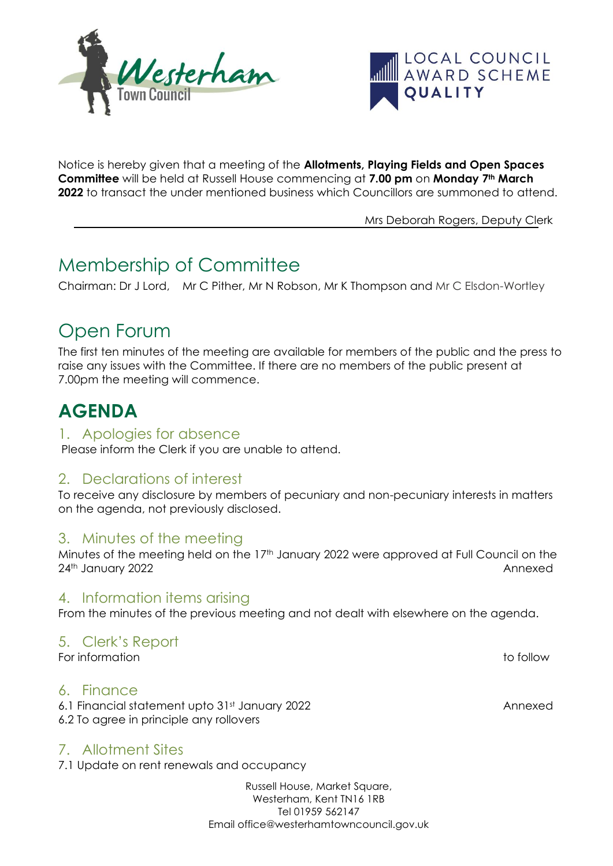



Notice is hereby given that a meeting of the **Allotments, Playing Fields and Open Spaces Committee** will be held at Russell House commencing at **7.00 pm** on **Monday 7th March 2022** to transact the under mentioned business which Councillors are summoned to attend.

Mrs Deborah Rogers, Deputy Clerk

# Membership of Committee

Chairman: Dr J Lord, Mr C Pither, Mr N Robson, Mr K Thompson and Mr C Elsdon-Wortley

# Open Forum

The first ten minutes of the meeting are available for members of the public and the press to raise any issues with the Committee. If there are no members of the public present at 7.00pm the meeting will commence.

# **AGENDA**

#### 1. Apologies for absence

Please inform the Clerk if you are unable to attend.

### 2. Declarations of interest

To receive any disclosure by members of pecuniary and non-pecuniary interests in matters on the agenda, not previously disclosed.

### 3. Minutes of the meeting

Minutes of the meeting held on the 17<sup>th</sup> January 2022 were approved at Full Council on the 24th January 2022 Annexed

### 4. Information items arising

From the minutes of the previous meeting and not dealt with elsewhere on the agenda.

# 5. Clerk's Report

For information to follow

### 6. Finance

6.1 Financial statement upto 31st January 2022 Annexed 6.2 To agree in principle any rollovers

# 7. Allotment Sites

7.1 Update on rent renewals and occupancy

Russell House, Market Square, Westerham, Kent TN16 1RB Tel 01959 562147 Email office@westerhamtowncouncil.gov.uk